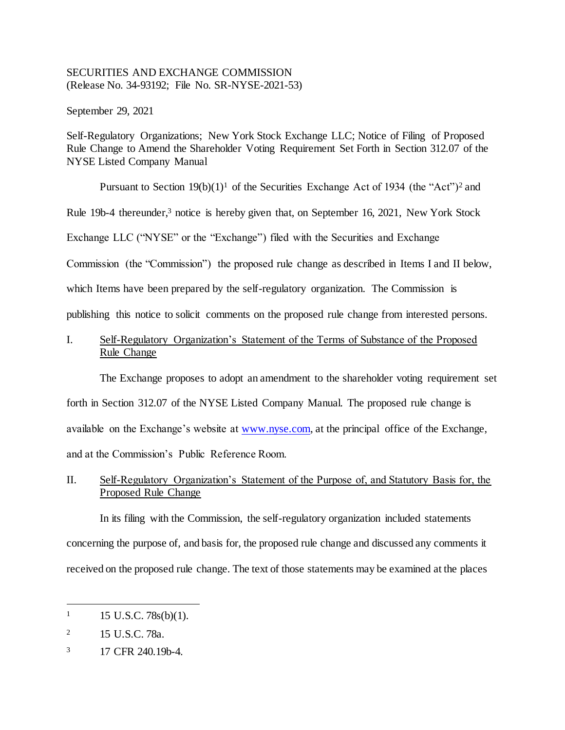## SECURITIES AND EXCHANGE COMMISSION (Release No. 34-93192; File No. SR-NYSE-2021-53)

September 29, 2021

Self-Regulatory Organizations; New York Stock Exchange LLC; Notice of Filing of Proposed Rule Change to Amend the Shareholder Voting Requirement Set Forth in Section 312.07 of the NYSE Listed Company Manual

Pursuant to Section  $19(b)(1)^1$  of the Securities Exchange Act of 1934 (the "Act")<sup>2</sup> and

Rule 19b-4 thereunder,<sup>3</sup> notice is hereby given that, on September 16, 2021, New York Stock

Exchange LLC ("NYSE" or the "Exchange") filed with the Securities and Exchange

Commission (the "Commission") the proposed rule change as described in Items I and II below,

which Items have been prepared by the self-regulatory organization. The Commission is

publishing this notice to solicit comments on the proposed rule change from interested persons.

# I. Self-Regulatory Organization's Statement of the Terms of Substance of the Proposed Rule Change

The Exchange proposes to adopt an amendment to the shareholder voting requirement set forth in Section 312.07 of the NYSE Listed Company Manual. The proposed rule change is available on the Exchange's website at www.nyse.com, at the principal office of the Exchange, and at the Commission's Public Reference Room.

# II. Self-Regulatory Organization's Statement of the Purpose of, and Statutory Basis for, the Proposed Rule Change

In its filing with the Commission, the self-regulatory organization included statements concerning the purpose of, and basis for, the proposed rule change and discussed any comments it received on the proposed rule change. The text of those statements may be examined at the places

l

 $1 \quad 15 \text{ U.S.C. } 78 \text{s(b)}(1).$ 

<sup>2</sup> 15 U.S.C. 78a.

<sup>3</sup> 17 CFR 240.19b-4.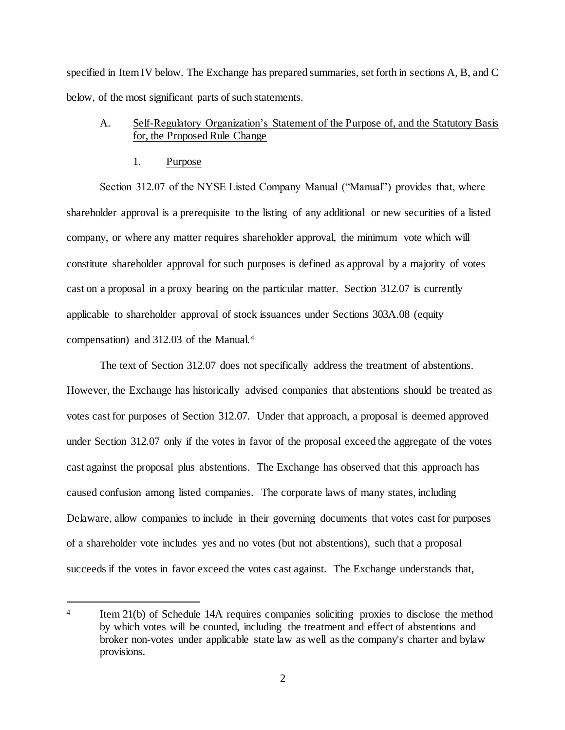specified in Item IV below. The Exchange has prepared summaries, set forth in sections A, B, and C below, of the most significant parts of such statements.

## A. Self-Regulatory Organization's Statement of the Purpose of, and the Statutory Basis for, the Proposed Rule Change

### 1. Purpose

l

Section 312.07 of the NYSE Listed Company Manual ("Manual") provides that, where shareholder approval is a prerequisite to the listing of any additional or new securities of a listed company, or where any matter requires shareholder approval, the minimum vote which will constitute shareholder approval for such purposes is defined as approval by a majority of votes cast on a proposal in a proxy bearing on the particular matter. Section 312.07 is currently applicable to shareholder approval of stock issuances under Sections 303A.08 (equity compensation) and 312.03 of the Manual.<sup>4</sup>

The text of Section 312.07 does not specifically address the treatment of abstentions. However, the Exchange has historically advised companies that abstentions should be treated as votes cast for purposes of Section 312.07. Under that approach, a proposal is deemed approved under Section 312.07 only if the votes in favor of the proposal exceed the aggregate of the votes cast against the proposal plus abstentions. The Exchange has observed that this approach has caused confusion among listed companies. The corporate laws of many states, including Delaware, allow companies to include in their governing documents that votes cast for purposes of a shareholder vote includes yes and no votes (but not abstentions), such that a proposal succeeds if the votes in favor exceed the votes cast against. The Exchange understands that,

<sup>4</sup> Item 21(b) of Schedule 14A requires companies soliciting proxies to disclose the method by which votes will be counted, including the treatment and effect of abstentions and broker non-votes under applicable state law as well as the company's charter and bylaw provisions.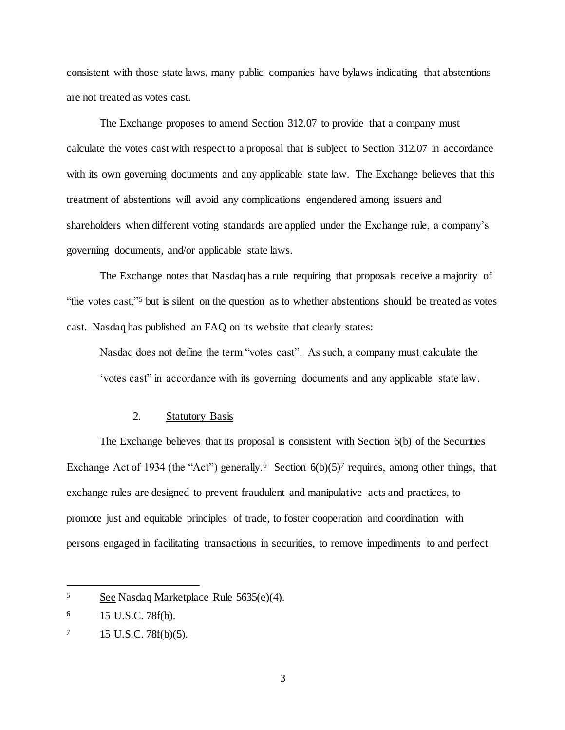consistent with those state laws, many public companies have bylaws indicating that abstentions are not treated as votes cast.

The Exchange proposes to amend Section 312.07 to provide that a company must calculate the votes cast with respect to a proposal that is subject to Section 312.07 in accordance with its own governing documents and any applicable state law. The Exchange believes that this treatment of abstentions will avoid any complications engendered among issuers and shareholders when different voting standards are applied under the Exchange rule, a company's governing documents, and/or applicable state laws.

The Exchange notes that Nasdaq has a rule requiring that proposals receive a majority of "the votes cast,"<sup>5</sup> but is silent on the question as to whether abstentions should be treated as votes cast. Nasdaq has published an FAQ on its website that clearly states:

Nasdaq does not define the term "votes cast". As such, a company must calculate the 'votes cast" in accordance with its governing documents and any applicable state law.

## 2. Statutory Basis

The Exchange believes that its proposal is consistent with Section 6(b) of the Securities Exchange Act of 1934 (the "Act") generally.<sup>6</sup> Section  $6(b)(5)^7$  requires, among other things, that exchange rules are designed to prevent fraudulent and manipulative acts and practices, to promote just and equitable principles of trade, to foster cooperation and coordination with persons engaged in facilitating transactions in securities, to remove impediments to and perfect

l

<sup>5</sup> See Nasdaq Marketplace Rule 5635(e)(4).

<sup>6</sup> 15 U.S.C. 78f(b).

 $7 \t15 \tU.S.C. 78f(b)(5).$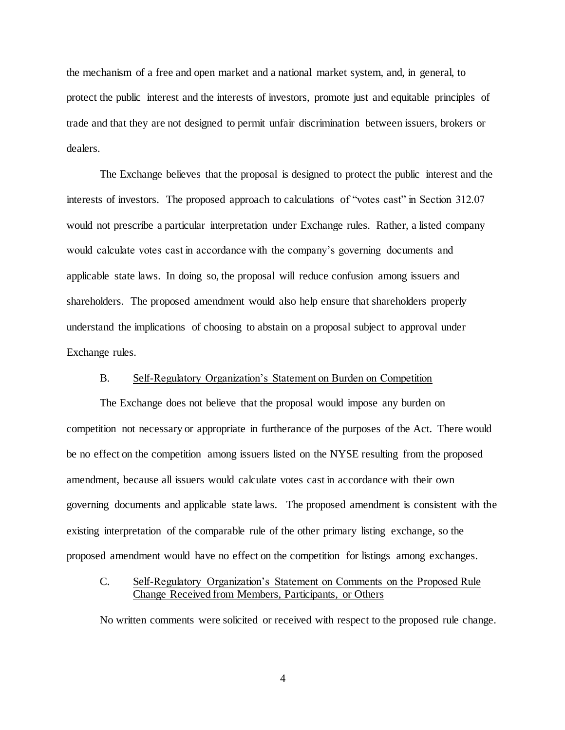the mechanism of a free and open market and a national market system, and, in general, to protect the public interest and the interests of investors, promote just and equitable principles of trade and that they are not designed to permit unfair discrimination between issuers, brokers or dealers.

The Exchange believes that the proposal is designed to protect the public interest and the interests of investors. The proposed approach to calculations of "votes cast" in Section 312.07 would not prescribe a particular interpretation under Exchange rules. Rather, a listed company would calculate votes cast in accordance with the company's governing documents and applicable state laws. In doing so, the proposal will reduce confusion among issuers and shareholders. The proposed amendment would also help ensure that shareholders properly understand the implications of choosing to abstain on a proposal subject to approval under Exchange rules.

### B. Self-Regulatory Organization's Statement on Burden on Competition

The Exchange does not believe that the proposal would impose any burden on competition not necessary or appropriate in furtherance of the purposes of the Act. There would be no effect on the competition among issuers listed on the NYSE resulting from the proposed amendment, because all issuers would calculate votes cast in accordance with their own governing documents and applicable state laws. The proposed amendment is consistent with the existing interpretation of the comparable rule of the other primary listing exchange, so the proposed amendment would have no effect on the competition for listings among exchanges.

## C. Self-Regulatory Organization's Statement on Comments on the Proposed Rule Change Received from Members, Participants, or Others

No written comments were solicited or received with respect to the proposed rule change.

4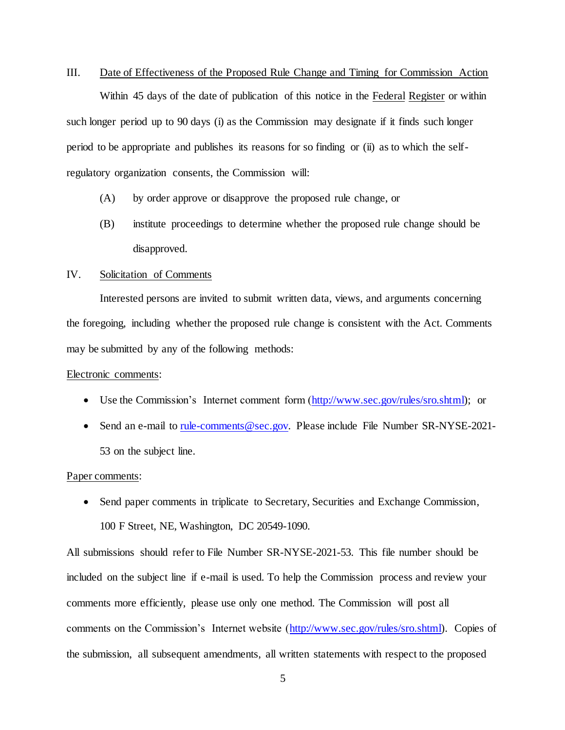### III. Date of Effectiveness of the Proposed Rule Change and Timing for Commission Action

Within 45 days of the date of publication of this notice in the Federal Register or within such longer period up to 90 days (i) as the Commission may designate if it finds such longer period to be appropriate and publishes its reasons for so finding or (ii) as to which the selfregulatory organization consents, the Commission will:

- (A) by order approve or disapprove the proposed rule change, or
- (B) institute proceedings to determine whether the proposed rule change should be disapproved.

#### IV. Solicitation of Comments

Interested persons are invited to submit written data, views, and arguments concerning the foregoing, including whether the proposed rule change is consistent with the Act. Comments may be submitted by any of the following methods:

### Electronic comments:

- Use the Commission's Internet comment form [\(http://www.sec.gov/rules/sro.shtml\);](http://www.sec.gov/rules/sro.shtml) or
- Send an e-mail to [rule-comments@sec.gov.](mailto:rule-comments@sec.gov) Please include File Number SR-NYSE-2021-53 on the subject line.

#### Paper comments:

• Send paper comments in triplicate to Secretary, Securities and Exchange Commission, 100 F Street, NE, Washington, DC 20549-1090.

All submissions should refer to File Number SR-NYSE-2021-53. This file number should be included on the subject line if e-mail is used. To help the Commission process and review your comments more efficiently, please use only one method. The Commission will post all comments on the Commission's Internet website [\(http://www.sec.gov/rules/sro.shtml\).](http://www.sec.gov/rules/sro.shtml) Copies of the submission, all subsequent amendments, all written statements with respect to the proposed